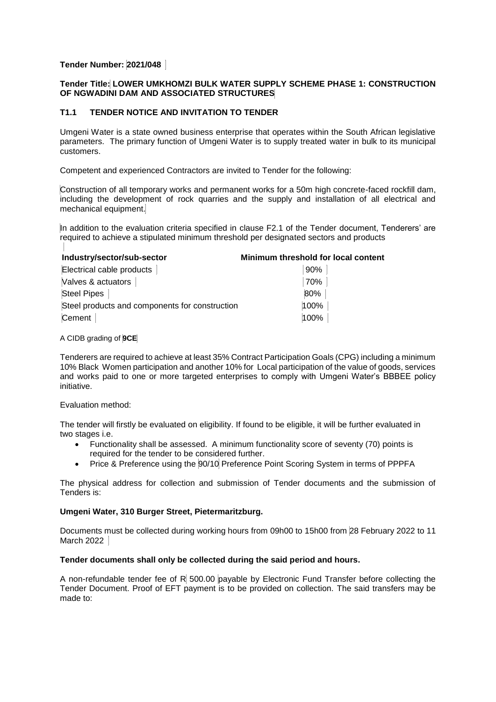# **Tender Number: 2021/048**

## **Tender Title: LOWER UMKHOMZI BULK WATER SUPPLY SCHEME PHASE 1: CONSTRUCTION OF NGWADINI DAM AND ASSOCIATED STRUCTURES**

# **T1.1 TENDER NOTICE AND INVITATION TO TENDER**

Umgeni Water is a state owned business enterprise that operates within the South African legislative parameters. The primary function of Umgeni Water is to supply treated water in bulk to its municipal customers.

Competent and experienced Contractors are invited to Tender for the following:

Construction of all temporary works and permanent works for a 50m high concrete-faced rockfill dam, including the development of rock quarries and the supply and installation of all electrical and mechanical equipment.

In addition to the evaluation criteria specified in clause F2.1 of the Tender document, Tenderers' are required to achieve a stipulated minimum threshold per designated sectors and products

| Industry/sector/sub-sector                     | Minimum threshold for local content |
|------------------------------------------------|-------------------------------------|
| Electrical cable products                      | 90%                                 |
| Valves & actuators                             | 70%                                 |
| <b>Steel Pipes</b>                             | 80%                                 |
| Steel products and components for construction | 100%                                |
| Cement                                         | 100%                                |

## A CIDB grading of **9CE**

Tenderers are required to achieve at least 35% Contract Participation Goals (CPG) including a minimum 10% Black Women participation and another 10% for Local participation of the value of goods, services and works paid to one or more targeted enterprises to comply with Umgeni Water's BBBEE policy initiative.

### Evaluation method:

The tender will firstly be evaluated on eligibility. If found to be eligible, it will be further evaluated in two stages i.e.

- Functionality shall be assessed. A minimum functionality score of seventy (70) points is required for the tender to be considered further.
- Price & Preference using the 90/10 Preference Point Scoring System in terms of PPPFA

The physical address for collection and submission of Tender documents and the submission of Tenders is:

#### **Umgeni Water, 310 Burger Street, Pietermaritzburg.**

Documents must be collected during working hours from 09h00 to 15h00 from 28 February 2022 to 11 March 2022

#### **Tender documents shall only be collected during the said period and hours.**

A non-refundable tender fee of  $R$  500.00 payable by Electronic Fund Transfer before collecting the Tender Document. Proof of EFT payment is to be provided on collection. The said transfers may be made to: